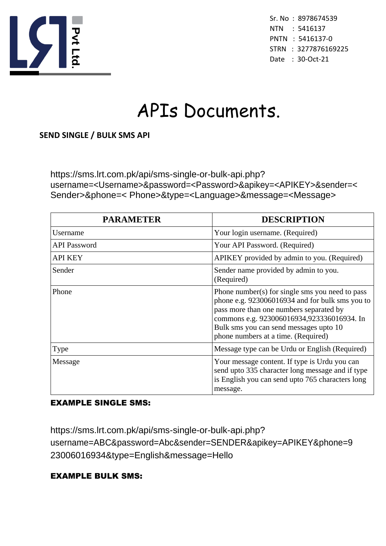

Sr. No : 8978674539 NTN : 5416137 PNTN : 5416137-0 STRN : 3277876169225 Date : 30-Oct-21

# APIs Documents.

#### **SEND SINGLE / BULK SMS API**

https://sms.lrt.com.pk/api/sms-single-or-bulk-api.php? username=<Username>&password=<Password>&apikey=<APIKEY>&sender=< Sender>&phone=< Phone>&type=<Language>&message=<Message>

| <b>PARAMETER</b>    | <b>DESCRIPTION</b>                                                                                                                                                                                                                                                           |
|---------------------|------------------------------------------------------------------------------------------------------------------------------------------------------------------------------------------------------------------------------------------------------------------------------|
| Username            | Your login username. (Required)                                                                                                                                                                                                                                              |
| <b>API</b> Password | Your API Password. (Required)                                                                                                                                                                                                                                                |
| <b>API KEY</b>      | APIKEY provided by admin to you. (Required)                                                                                                                                                                                                                                  |
| Sender              | Sender name provided by admin to you.<br>(Required)                                                                                                                                                                                                                          |
| Phone               | Phone number(s) for single sms you need to pass<br>phone e.g. 923006016934 and for bulk sms you to<br>pass more than one numbers separated by<br>commons e.g. 923006016934,923336016934. In<br>Bulk sms you can send messages upto 10<br>phone numbers at a time. (Required) |
| Type                | Message type can be Urdu or English (Required)                                                                                                                                                                                                                               |
| Message             | Your message content. If type is Urdu you can<br>send upto 335 character long message and if type<br>is English you can send upto 765 characters long<br>message.                                                                                                            |

#### EXAMPLE SINGLE SMS:

https://sms.lrt.com.pk/api/sms-single-or-bulk-api.php? username=ABC&password=Abc&sender=SENDER&apikey=APIKEY&phone=9 23006016934&type=English&message=Hello

#### EXAMPLE BULK SMS: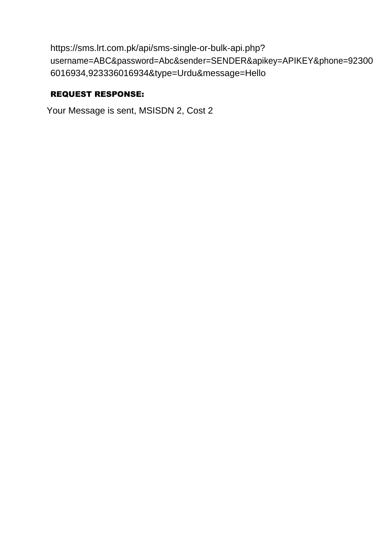```
https://sms.lrt.com.pk/api/sms-single-or-bulk-api.php? 
username=ABC&password=Abc&sender=SENDER&apikey=APIKEY&phone=92300
6016934,923336016934&type=Urdu&message=Hello
```
## REQUEST RESPONSE:

Your Message is sent, MSISDN 2, Cost 2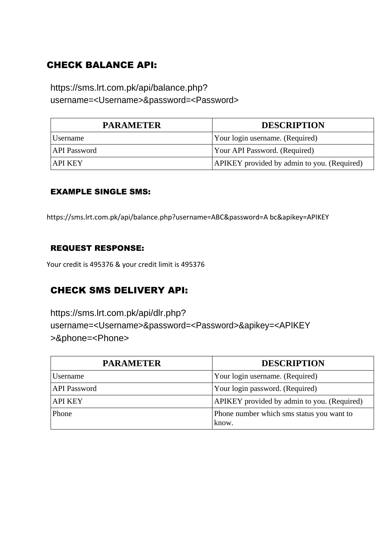## CHECK BALANCE API:

## https://sms.lrt.com.pk/api/balance.php? username=<Username>&password=<Password>

| <b>PARAMETER</b>    | <b>DESCRIPTION</b>                          |
|---------------------|---------------------------------------------|
| Username            | Your login username. (Required)             |
| <b>API Password</b> | Your API Password. (Required)               |
| <b>API KEY</b>      | APIKEY provided by admin to you. (Required) |

#### EXAMPLE SINGLE SMS:

https://sms.lrt.com.pk/api/balance.php?username=ABC&password=A bc&apikey=APIKEY

#### REQUEST RESPONSE:

Your credit is 495376 & your credit limit is 495376

## CHECK SMS DELIVERY API:

https://sms.lrt.com.pk/api/dlr.php? username=<Username>&password=<Password>&apikey=<APIKEY >&phone=<Phone>

| <b>PARAMETER</b>    | <b>DESCRIPTION</b>                                 |
|---------------------|----------------------------------------------------|
| Username            | Your login username. (Required)                    |
| <b>API</b> Password | Your login password. (Required)                    |
| <b>API KEY</b>      | APIKEY provided by admin to you. (Required)        |
| Phone               | Phone number which sms status you want to<br>know. |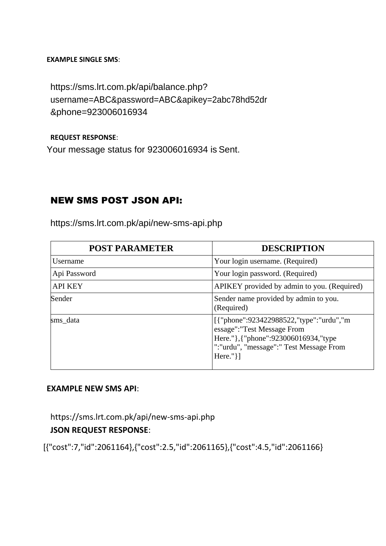#### **EXAMPLE SINGLE SMS**:

https://sms.lrt.com.pk/api/balance.php? username=ABC&password=ABC&apikey=2abc78hd52dr &phone=923006016934

#### **REQUEST RESPONSE**:

Your message status for 923006016934 is Sent.

## NEW SMS POST JSON API:

| <b>POST PARAMETER</b> | <b>DESCRIPTION</b>                                                                                                                                                           |
|-----------------------|------------------------------------------------------------------------------------------------------------------------------------------------------------------------------|
| Username              | Your login username. (Required)                                                                                                                                              |
| Api Password          | Your login password. (Required)                                                                                                                                              |
| <b>API KEY</b>        | APIKEY provided by admin to you. (Required)                                                                                                                                  |
| Sender                | Sender name provided by admin to you.<br>(Required)                                                                                                                          |
| sms_data              | [{"phone":923422988522,"type":"urdu","m<br>essage": "Test Message From<br>Here." }, {"phone": 923006016934, "type<br>":"urdu", "message":" Test Message From<br>Here." $\}]$ |

https://sms.lrt.com.pk/api/new-sms-api.php

#### **EXAMPLE NEW SMS API**:

https://sms.lrt.com.pk/api/new-sms-api.php

### **JSON REQUEST RESPONSE**:

[{"cost":7,"id":2061164},{"cost":2.5,"id":2061165},{"cost":4.5,"id":2061166}